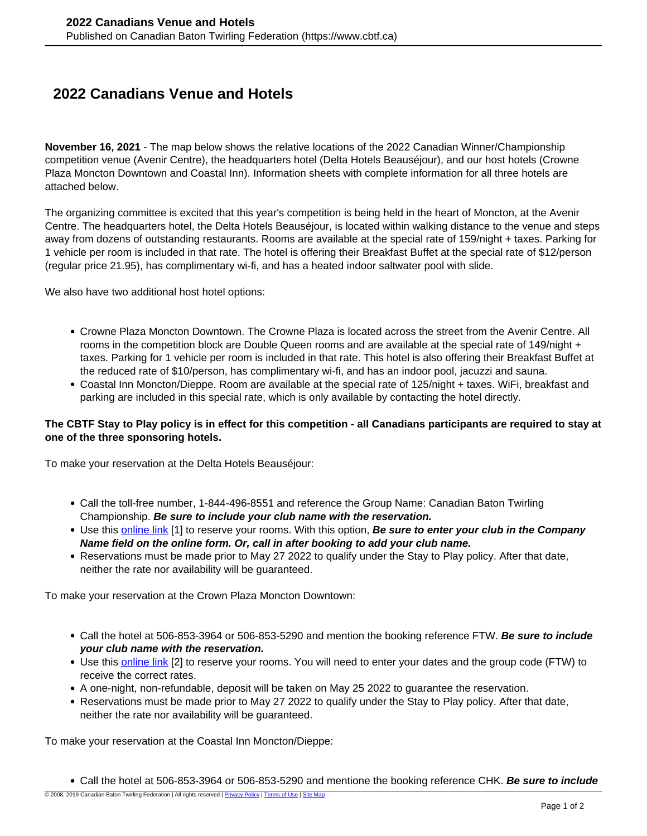## **2022 Canadians Venue and Hotels**

**November 16, 2021** - The map below shows the relative locations of the 2022 Canadian Winner/Championship competition venue (Avenir Centre), the headquarters hotel (Delta Hotels Beauséjour), and our host hotels (Crowne Plaza Moncton Downtown and Coastal Inn). Information sheets with complete information for all three hotels are attached below.

The organizing committee is excited that this year's competition is being held in the heart of Moncton, at the Avenir Centre. The headquarters hotel, the Delta Hotels Beauséjour, is located within walking distance to the venue and steps away from dozens of outstanding restaurants. Rooms are available at the special rate of 159/night + taxes. Parking for 1 vehicle per room is included in that rate. The hotel is offering their Breakfast Buffet at the special rate of \$12/person (regular price 21.95), has complimentary wi-fi, and has a heated indoor saltwater pool with slide.

We also have two additional host hotel options:

- Crowne Plaza Moncton Downtown. The Crowne Plaza is located across the street from the Avenir Centre. All rooms in the competition block are Double Queen rooms and are available at the special rate of 149/night + taxes. Parking for 1 vehicle per room is included in that rate. This hotel is also offering their Breakfast Buffet at the reduced rate of \$10/person, has complimentary wi-fi, and has an indoor pool, jacuzzi and sauna.
- Coastal Inn Moncton/Dieppe. Room are available at the special rate of 125/night + taxes. WiFi, breakfast and parking are included in this special rate, which is only available by contacting the hotel directly.

## **The CBTF Stay to Play policy is in effect for this competition - all Canadians participants are required to stay at one of the three sponsoring hotels.**

To make your reservation at the Delta Hotels Beauséjour:

- Call the toll-free number, 1-844-496-8551 and reference the Group Name: Canadian Baton Twirling Championship. **Be sure to include your club name with the reservation.**
- Use this [online link](https://www.marriott.com/event-reservations/reservation-link.mi?id=1635428769078&key=GRP&app=resvlink) [1] to reserve your rooms. With this option, **Be sure to enter your club in the Company Name field on the online form. Or, call in after booking to add your club name.**
- Reservations must be made prior to May 27 2022 to qualify under the Stay to Play policy. After that date, neither the rate nor availability will be guaranteed.

To make your reservation at the Crown Plaza Moncton Downtown:

- Call the hotel at 506-853-3964 or 506-853-5290 and mention the booking reference FTW. **Be sure to include your club name with the reservation.**
- Use this [online link](https://www.ihg.com/crowneplaza/hotels/us/en/moncton/yqmms/hoteldetail?fromRedirect=true&qSrt=sBR&qIta=99801505&icdv=99801505&qSlH=YQMMS&qGrpCd=FTW&setPMCookies=true&qSHBrC=CP&qDest=1005%20Main%20Street,%20Moncton,%20NB,%20CA&srb_u=1) [2] to reserve your rooms. You will need to enter your dates and the group code (FTW) to receive the correct rates.
- A one-night, non-refundable, deposit will be taken on May 25 2022 to guarantee the reservation.
- Reservations must be made prior to May 27 2022 to qualify under the Stay to Play policy. After that date, neither the rate nor availability will be guaranteed.

To make your reservation at the Coastal Inn Moncton/Dieppe:

Call the hotel at 506-853-3964 or 506-853-5290 and mentione the booking reference CHK. **Be sure to include**